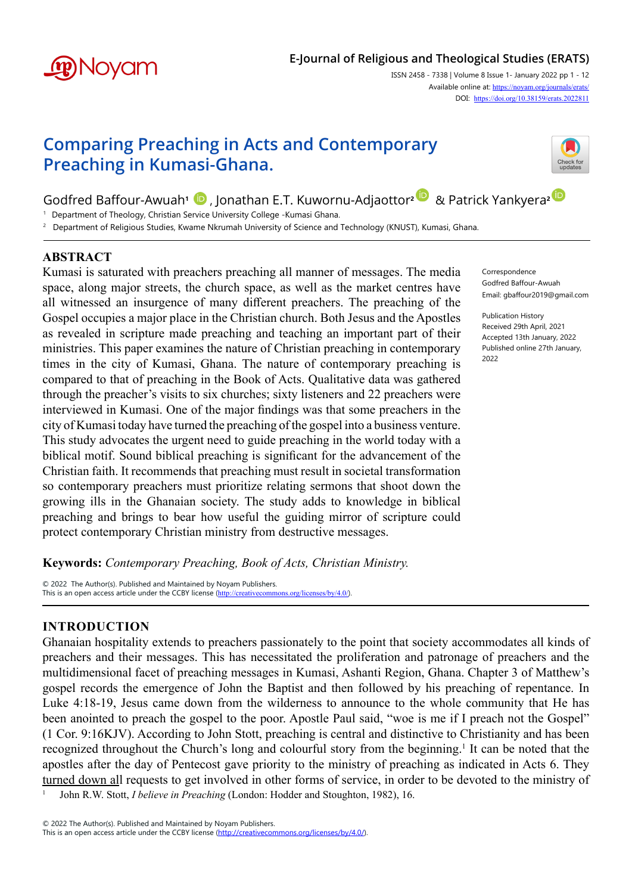

# **E-Journal of Religious and Theological Studies (ERATS)**

ISSN 2458 - 7338 | Volume 8 Issue 1- January 2022 pp 1 - 12 Available online at: [https://noyam.org/journals/erats/](https://noyam.org/journals/erats/
) DOI: [https://doi.org/1](https://doi.org/10.38159/erats.2022811)0.38159/erats.2022811

# **Comparing Preaching in Acts and Contemporary Preaching in Kumasi-Ghana.**



Godfred Baffour-Awuah**1** , Jonathan E.T. Kuwornu-Adjaottor**[2](https://orcid.org/0000-0003-0320-0983)** & Patrick Yankyera**[2](https://orcid.org/0000-0003-1258-3066)** 

<sup>1</sup> Department of Theology, Christian Service University College -Kumasi Ghana.

2 Department of Religious Studies, Kwame Nkrumah University of Science and Technology (KNUST), Kumasi, Ghana.

# **ABSTRACT**

Kumasi is saturated with preachers preaching all manner of messages. The media space, along major streets, the church space, as well as the market centres have all witnessed an insurgence of many different preachers. The preaching of the Gospel occupies a major place in the Christian church. Both Jesus and the Apostles as revealed in scripture made preaching and teaching an important part of their ministries. This paper examines the nature of Christian preaching in contemporary times in the city of Kumasi, Ghana. The nature of contemporary preaching is compared to that of preaching in the Book of Acts. Qualitative data was gathered through the preacher's visits to six churches; sixty listeners and 22 preachers were interviewed in Kumasi. One of the major findings was that some preachers in the city of Kumasi today have turned the preaching of the gospel into a business venture. This study advocates the urgent need to guide preaching in the world today with a biblical motif. Sound biblical preaching is significant for the advancement of the Christian faith. It recommends that preaching must result in societal transformation so contemporary preachers must prioritize relating sermons that shoot down the growing ills in the Ghanaian society. The study adds to knowledge in biblical preaching and brings to bear how useful the guiding mirror of scripture could protect contemporary Christian ministry from destructive messages.

Correspondence Godfred Baffour-Awuah Email: gbaffour2019@gmail.com

Publication History Received 29th April, 2021 Accepted 13th January, 2022 Published online 27th January, 2022

**Keywords:** *Contemporary Preaching, Book of Acts, Christian Ministry.*

© 2022 The Author(s). Published and Maintained by Noyam Publishers. This is an open access article under the CCBY license (<http://creativecommons.org/licenses/by/4.0/>).

# **INTRODUCTION**

Ghanaian hospitality extends to preachers passionately to the point that society accommodates all kinds of preachers and their messages. This has necessitated the proliferation and patronage of preachers and the multidimensional facet of preaching messages in Kumasi, Ashanti Region, Ghana. Chapter 3 of Matthew's gospel records the emergence of John the Baptist and then followed by his preaching of repentance. In Luke 4:18-19, Jesus came down from the wilderness to announce to the whole community that He has been anointed to preach the gospel to the poor. Apostle Paul said, "woe is me if I preach not the Gospel" (1 Cor. 9:16KJV). According to John Stott, preaching is central and distinctive to Christianity and has been recognized throughout the Church's long and colourful story from the beginning.<sup>1</sup> It can be noted that the apostles after the day of Pentecost gave priority to the ministry of preaching as indicated in Acts 6. They turned down all requests to get involved in other forms of service, in order to be devoted to the ministry of

<sup>1</sup> John R.W. Stott, *I believe in Preaching* (London: Hodder and Stoughton, 1982), 16.

© 2022 The Author(s). Published and Maintained by Noyam Publishers.

This is an open access article under the CCBY license [\(http://creativecommons.org/licenses/by/4.0/](http://creativecommons.org/licenses/by/4.0/)).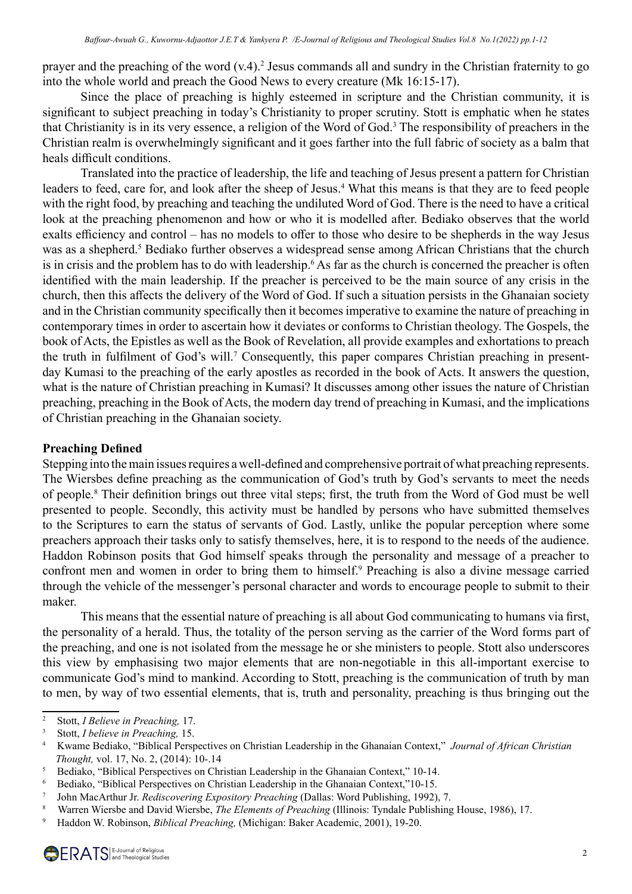prayer and the preaching of the word (v.4).<sup>2</sup> Jesus commands all and sundry in the Christian fraternity to go into the whole world and preach the Good News to every creature (Mk 16:15-17).

Since the place of preaching is highly esteemed in scripture and the Christian community, it is significant to subject preaching in today's Christianity to proper scrutiny. Stott is emphatic when he states that Christianity is in its very essence, a religion of the Word of God.3 The responsibility of preachers in the Christian realm is overwhelmingly significant and it goes farther into the full fabric of society as a balm that heals difficult conditions.

Translated into the practice of leadership, the life and teaching of Jesus present a pattern for Christian leaders to feed, care for, and look after the sheep of Jesus.<sup>4</sup> What this means is that they are to feed people with the right food, by preaching and teaching the undiluted Word of God. There is the need to have a critical look at the preaching phenomenon and how or who it is modelled after. Bediako observes that the world exalts efficiency and control – has no models to offer to those who desire to be shepherds in the way Jesus was as a shepherd.<sup>5</sup> Bediako further observes a widespread sense among African Christians that the church is in crisis and the problem has to do with leadership.<sup>6</sup> As far as the church is concerned the preacher is often identified with the main leadership. If the preacher is perceived to be the main source of any crisis in the church, then this affects the delivery of the Word of God. If such a situation persists in the Ghanaian society and in the Christian community specifically then it becomes imperative to examine the nature of preaching in contemporary times in order to ascertain how it deviates or conforms to Christian theology. The Gospels, the book of Acts, the Epistles as well as the Book of Revelation, all provide examples and exhortations to preach the truth in fulfilment of God's will.<sup>7</sup> Consequently, this paper compares Christian preaching in presentday Kumasi to the preaching of the early apostles as recorded in the book of Acts. It answers the question, what is the nature of Christian preaching in Kumasi? It discusses among other issues the nature of Christian preaching, preaching in the Book of Acts, the modern day trend of preaching in Kumasi, and the implications of Christian preaching in the Ghanaian society.

## **Preaching Defined**

Stepping into the main issues requires a well-defined and comprehensive portrait of what preaching represents. The Wiersbes define preaching as the communication of God's truth by God's servants to meet the needs of people.8 Their definition brings out three vital steps; first, the truth from the Word of God must be well presented to people. Secondly, this activity must be handled by persons who have submitted themselves to the Scriptures to earn the status of servants of God. Lastly, unlike the popular perception where some preachers approach their tasks only to satisfy themselves, here, it is to respond to the needs of the audience. Haddon Robinson posits that God himself speaks through the personality and message of a preacher to confront men and women in order to bring them to himself.<sup>9</sup> Preaching is also a divine message carried through the vehicle of the messenger's personal character and words to encourage people to submit to their maker.

This means that the essential nature of preaching is all about God communicating to humans via first, the personality of a herald. Thus, the totality of the person serving as the carrier of the Word forms part of the preaching, and one is not isolated from the message he or she ministers to people. Stott also underscores this view by emphasising two major elements that are non-negotiable in this all-important exercise to communicate God's mind to mankind. According to Stott, preaching is the communication of truth by man to men, by way of two essential elements, that is, truth and personality, preaching is thus bringing out the

<sup>2</sup> Stott, *I Believe in Preaching,* 17.

<sup>3</sup> Stott, *I believe in Preaching,* 15.

<sup>4</sup> Kwame Bediako, "Biblical Perspectives on Christian Leadership in the Ghanaian Context," *Journal of African Christian Thought,* vol. 17, No. 2, (2014): 10-.14

<sup>5</sup> Bediako, "Biblical Perspectives on Christian Leadership in the Ghanaian Context," 10-14.

<sup>&</sup>lt;sup>6</sup> Bediako, "Biblical Perspectives on Christian Leadership in the Ghanaian Context," 10-15.<br><sup>7</sup> Iohn MacArthur In *Rediscovering Expository Preaching* (Dallas: Word Publishing 1992)

<sup>7</sup> John MacArthur Jr. *Rediscovering Expository Preaching* (Dallas: Word Publishing, 1992), 7.

<sup>8</sup> Warren Wiersbe and David Wiersbe, *The Elements of Preaching* (Illinois: Tyndale Publishing House, 1986), 17.

<sup>9</sup> Haddon W. Robinson, *Biblical Preaching,* (Michigan: Baker Academic, 2001), 19-20.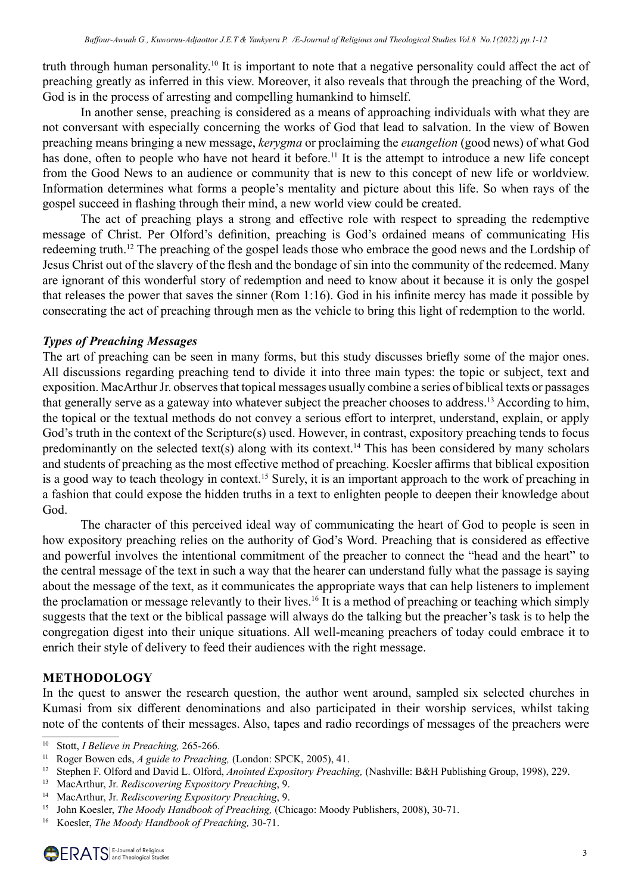truth through human personality.10 It is important to note that a negative personality could affect the act of preaching greatly as inferred in this view. Moreover, it also reveals that through the preaching of the Word, God is in the process of arresting and compelling humankind to himself.

In another sense, preaching is considered as a means of approaching individuals with what they are not conversant with especially concerning the works of God that lead to salvation. In the view of Bowen preaching means bringing a new message, *kerygma* or proclaiming the *euangelion* (good news) of what God has done, often to people who have not heard it before.<sup>11</sup> It is the attempt to introduce a new life concept from the Good News to an audience or community that is new to this concept of new life or worldview. Information determines what forms a people's mentality and picture about this life. So when rays of the gospel succeed in flashing through their mind, a new world view could be created.

The act of preaching plays a strong and effective role with respect to spreading the redemptive message of Christ. Per Olford's definition, preaching is God's ordained means of communicating His redeeming truth.12 The preaching of the gospel leads those who embrace the good news and the Lordship of Jesus Christ out of the slavery of the flesh and the bondage of sin into the community of the redeemed. Many are ignorant of this wonderful story of redemption and need to know about it because it is only the gospel that releases the power that saves the sinner (Rom 1:16). God in his infinite mercy has made it possible by consecrating the act of preaching through men as the vehicle to bring this light of redemption to the world.

# *Types of Preaching Messages*

The art of preaching can be seen in many forms, but this study discusses briefly some of the major ones. All discussions regarding preaching tend to divide it into three main types: the topic or subject, text and exposition. MacArthur Jr. observes that topical messages usually combine a series of biblical texts or passages that generally serve as a gateway into whatever subject the preacher chooses to address.<sup>13</sup> According to him, the topical or the textual methods do not convey a serious effort to interpret, understand, explain, or apply God's truth in the context of the Scripture(s) used. However, in contrast, expository preaching tends to focus predominantly on the selected text(s) along with its context.14 This has been considered by many scholars and students of preaching as the most effective method of preaching. Koesler affirms that biblical exposition is a good way to teach theology in context.<sup>15</sup> Surely, it is an important approach to the work of preaching in a fashion that could expose the hidden truths in a text to enlighten people to deepen their knowledge about God.

The character of this perceived ideal way of communicating the heart of God to people is seen in how expository preaching relies on the authority of God's Word. Preaching that is considered as effective and powerful involves the intentional commitment of the preacher to connect the "head and the heart" to the central message of the text in such a way that the hearer can understand fully what the passage is saying about the message of the text, as it communicates the appropriate ways that can help listeners to implement the proclamation or message relevantly to their lives.16 It is a method of preaching or teaching which simply suggests that the text or the biblical passage will always do the talking but the preacher's task is to help the congregation digest into their unique situations. All well-meaning preachers of today could embrace it to enrich their style of delivery to feed their audiences with the right message.

# **METHODOLOGY**

In the quest to answer the research question, the author went around, sampled six selected churches in Kumasi from six different denominations and also participated in their worship services, whilst taking note of the contents of their messages. Also, tapes and radio recordings of messages of the preachers were

<sup>10</sup> Stott, *I Believe in Preaching,* 265-266.

<sup>11</sup> Roger Bowen eds, *A guide to Preaching,* (London: SPCK, 2005), 41.

<sup>12</sup> Stephen F. Olford and David L. Olford, *Anointed Expository Preaching,* (Nashville: B&H Publishing Group, 1998), 229.

<sup>13</sup> MacArthur, Jr. *Rediscovering Expository Preaching*, 9.

<sup>14</sup> MacArthur, Jr. *Rediscovering Expository Preaching*, 9.

<sup>15</sup> John Koesler, *The Moody Handbook of Preaching,* (Chicago: Moody Publishers, 2008), 30-71. 16 Koesler, *The Moody Handbook of Preaching,* 30-71.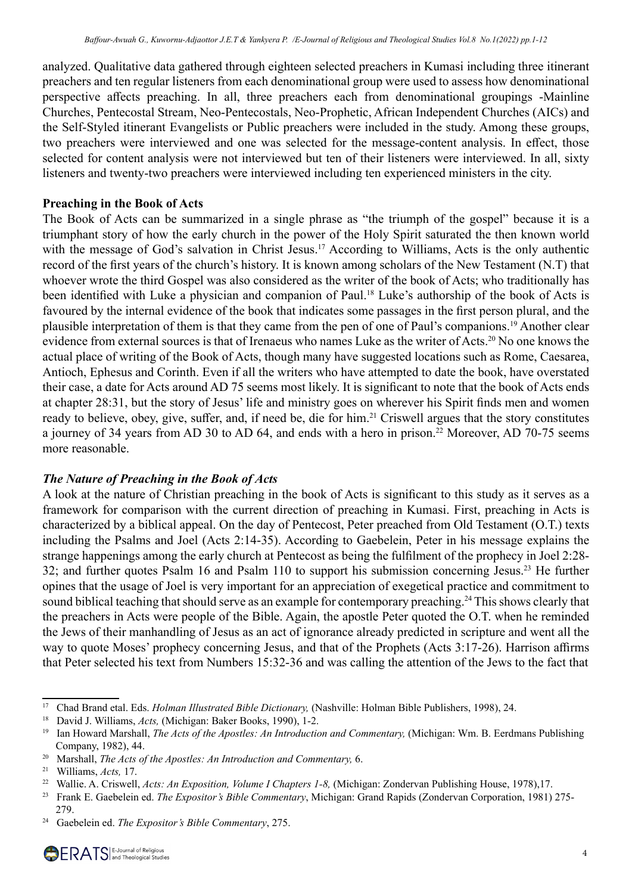analyzed. Qualitative data gathered through eighteen selected preachers in Kumasi including three itinerant preachers and ten regular listeners from each denominational group were used to assess how denominational perspective affects preaching. In all, three preachers each from denominational groupings -Mainline Churches, Pentecostal Stream, Neo-Pentecostals, Neo-Prophetic, African Independent Churches (AICs) and the Self-Styled itinerant Evangelists or Public preachers were included in the study. Among these groups, two preachers were interviewed and one was selected for the message-content analysis. In effect, those selected for content analysis were not interviewed but ten of their listeners were interviewed. In all, sixty listeners and twenty-two preachers were interviewed including ten experienced ministers in the city.

# **Preaching in the Book of Acts**

The Book of Acts can be summarized in a single phrase as "the triumph of the gospel" because it is a triumphant story of how the early church in the power of the Holy Spirit saturated the then known world with the message of God's salvation in Christ Jesus.<sup>17</sup> According to Williams, Acts is the only authentic record of the first years of the church's history. It is known among scholars of the New Testament (N.T) that whoever wrote the third Gospel was also considered as the writer of the book of Acts; who traditionally has been identified with Luke a physician and companion of Paul.<sup>18</sup> Luke's authorship of the book of Acts is favoured by the internal evidence of the book that indicates some passages in the first person plural, and the plausible interpretation of them is that they came from the pen of one of Paul's companions.19 Another clear evidence from external sources is that of Irenaeus who names Luke as the writer of Acts.<sup>20</sup> No one knows the actual place of writing of the Book of Acts, though many have suggested locations such as Rome, Caesarea, Antioch, Ephesus and Corinth. Even if all the writers who have attempted to date the book, have overstated their case, a date for Acts around AD 75 seems most likely. It is significant to note that the book of Acts ends at chapter 28:31, but the story of Jesus' life and ministry goes on wherever his Spirit finds men and women ready to believe, obey, give, suffer, and, if need be, die for him.<sup>21</sup> Criswell argues that the story constitutes a journey of 34 years from AD 30 to AD 64, and ends with a hero in prison.<sup>22</sup> Moreover, AD 70-75 seems more reasonable.

# *The Nature of Preaching in the Book of Acts*

A look at the nature of Christian preaching in the book of Acts is significant to this study as it serves as a framework for comparison with the current direction of preaching in Kumasi. First, preaching in Acts is characterized by a biblical appeal. On the day of Pentecost, Peter preached from Old Testament (O.T.) texts including the Psalms and Joel (Acts 2:14-35). According to Gaebelein, Peter in his message explains the strange happenings among the early church at Pentecost as being the fulfilment of the prophecy in Joel 2:28- 32; and further quotes Psalm 16 and Psalm 110 to support his submission concerning Jesus.23 He further opines that the usage of Joel is very important for an appreciation of exegetical practice and commitment to sound biblical teaching that should serve as an example for contemporary preaching.<sup>24</sup> This shows clearly that the preachers in Acts were people of the Bible. Again, the apostle Peter quoted the O.T. when he reminded the Jews of their manhandling of Jesus as an act of ignorance already predicted in scripture and went all the way to quote Moses' prophecy concerning Jesus, and that of the Prophets (Acts 3:17-26). Harrison affirms that Peter selected his text from Numbers 15:32-36 and was calling the attention of the Jews to the fact that

<sup>17</sup> Chad Brand etal. Eds. *Holman Illustrated Bible Dictionary,* (Nashville: Holman Bible Publishers, 1998), 24.

<sup>18</sup> David J. Williams, *Acts,* (Michigan: Baker Books, 1990), 1-2.

<sup>19</sup> Ian Howard Marshall, *The Acts of the Apostles: An Introduction and Commentary,* (Michigan: Wm. B. Eerdmans Publishing Company, 1982), 44.

<sup>20</sup> Marshall, *The Acts of the Apostles: An Introduction and Commentary,* 6.

<sup>21</sup> Williams, *Acts,* 17.

<sup>22</sup> Wallie. A. Criswell, *Acts: An Exposition, Volume I Chapters 1-8,* (Michigan: Zondervan Publishing House, 1978),17.

<sup>23</sup> Frank E. Gaebelein ed. *The Expositor's Bible Commentary*, Michigan: Grand Rapids (Zondervan Corporation, 1981) 275- 279.

<sup>24</sup> Gaebelein ed. *The Expositor's Bible Commentary*, 275.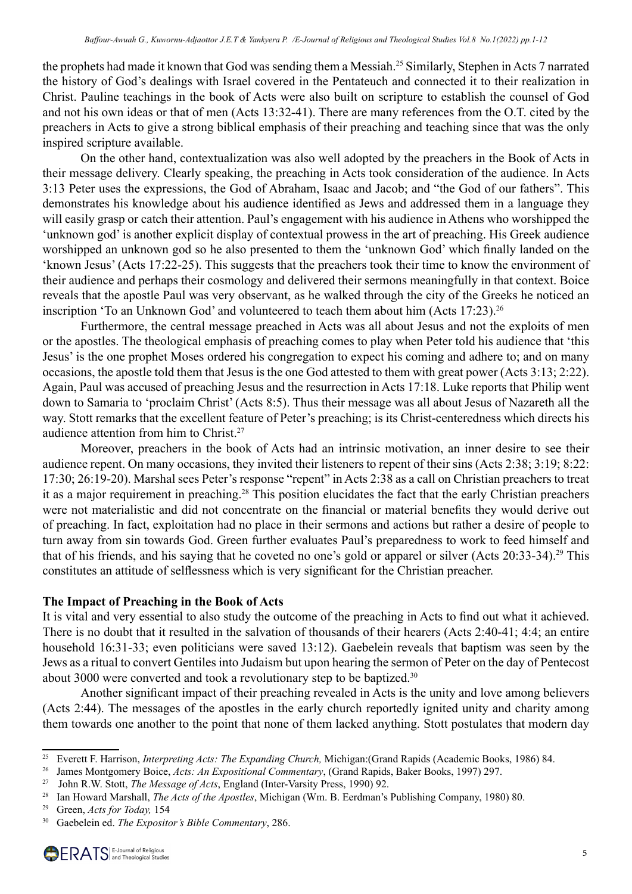the prophets had made it known that God was sending them a Messiah.25 Similarly, Stephen in Acts 7 narrated the history of God's dealings with Israel covered in the Pentateuch and connected it to their realization in Christ. Pauline teachings in the book of Acts were also built on scripture to establish the counsel of God and not his own ideas or that of men (Acts 13:32-41). There are many references from the O.T. cited by the preachers in Acts to give a strong biblical emphasis of their preaching and teaching since that was the only inspired scripture available.

On the other hand, contextualization was also well adopted by the preachers in the Book of Acts in their message delivery. Clearly speaking, the preaching in Acts took consideration of the audience. In Acts 3:13 Peter uses the expressions, the God of Abraham, Isaac and Jacob; and "the God of our fathers". This demonstrates his knowledge about his audience identified as Jews and addressed them in a language they will easily grasp or catch their attention. Paul's engagement with his audience in Athens who worshipped the 'unknown god' is another explicit display of contextual prowess in the art of preaching. His Greek audience worshipped an unknown god so he also presented to them the 'unknown God' which finally landed on the 'known Jesus' (Acts 17:22-25). This suggests that the preachers took their time to know the environment of their audience and perhaps their cosmology and delivered their sermons meaningfully in that context. Boice reveals that the apostle Paul was very observant, as he walked through the city of the Greeks he noticed an inscription 'To an Unknown God' and volunteered to teach them about him (Acts 17:23).<sup>26</sup>

Furthermore, the central message preached in Acts was all about Jesus and not the exploits of men or the apostles. The theological emphasis of preaching comes to play when Peter told his audience that 'this Jesus' is the one prophet Moses ordered his congregation to expect his coming and adhere to; and on many occasions, the apostle told them that Jesus is the one God attested to them with great power (Acts 3:13; 2:22). Again, Paul was accused of preaching Jesus and the resurrection in Acts 17:18. Luke reports that Philip went down to Samaria to 'proclaim Christ' (Acts 8:5). Thus their message was all about Jesus of Nazareth all the way. Stott remarks that the excellent feature of Peter's preaching; is its Christ-centeredness which directs his audience attention from him to Christ.<sup>27</sup>

Moreover, preachers in the book of Acts had an intrinsic motivation, an inner desire to see their audience repent. On many occasions, they invited their listeners to repent of their sins (Acts 2:38; 3:19; 8:22: 17:30; 26:19-20). Marshal sees Peter's response "repent" in Acts 2:38 as a call on Christian preachers to treat it as a major requirement in preaching.28 This position elucidates the fact that the early Christian preachers were not materialistic and did not concentrate on the financial or material benefits they would derive out of preaching. In fact, exploitation had no place in their sermons and actions but rather a desire of people to turn away from sin towards God. Green further evaluates Paul's preparedness to work to feed himself and that of his friends, and his saying that he coveted no one's gold or apparel or silver (Acts 20:33-34).29 This constitutes an attitude of selflessness which is very significant for the Christian preacher.

#### **The Impact of Preaching in the Book of Acts**

It is vital and very essential to also study the outcome of the preaching in Acts to find out what it achieved. There is no doubt that it resulted in the salvation of thousands of their hearers (Acts 2:40-41; 4:4; an entire household 16:31-33; even politicians were saved 13:12). Gaebelein reveals that baptism was seen by the Jews as a ritual to convert Gentiles into Judaism but upon hearing the sermon of Peter on the day of Pentecost about 3000 were converted and took a revolutionary step to be baptized.<sup>30</sup>

Another significant impact of their preaching revealed in Acts is the unity and love among believers (Acts 2:44). The messages of the apostles in the early church reportedly ignited unity and charity among them towards one another to the point that none of them lacked anything. Stott postulates that modern day

<sup>25</sup> Everett F. Harrison, *Interpreting Acts: The Expanding Church,* Michigan:(Grand Rapids (Academic Books, 1986) 84.

<sup>26</sup> James Montgomery Boice, *Acts: An Expositional Commentary*, (Grand Rapids, Baker Books, 1997) 297.

<sup>27</sup> John R.W. Stott, *The Message of Acts*, England (Inter-Varsity Press, 1990) 92. 28 Ian Howard Marshall, *The Acts of the Apostles*, Michigan (Wm. B. Eerdman's Publishing Company, 1980) 80.

<sup>29</sup> Green, *Acts for Today,* 154

<sup>30</sup> Gaebelein ed. *The Expositor's Bible Commentary*, 286.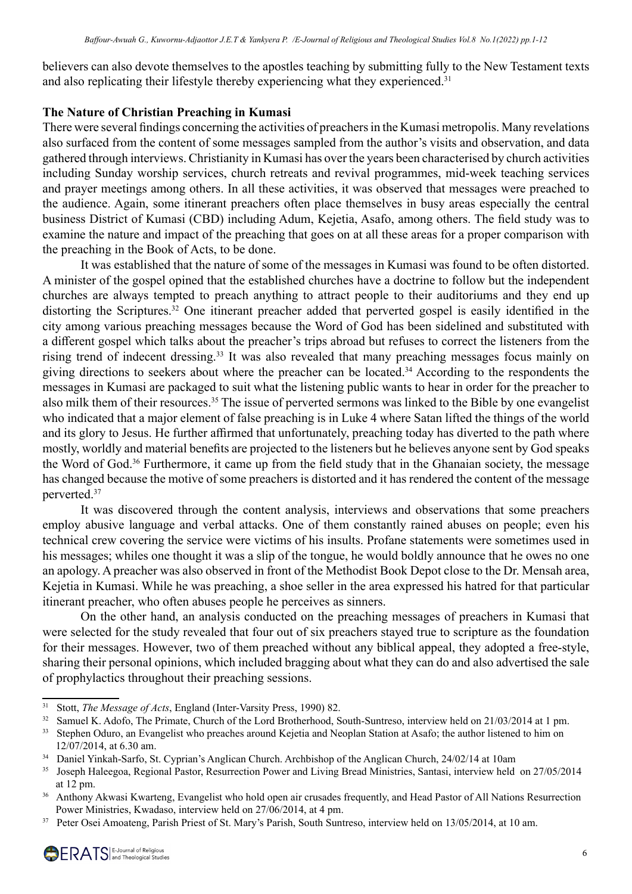believers can also devote themselves to the apostles teaching by submitting fully to the New Testament texts and also replicating their lifestyle thereby experiencing what they experienced.<sup>31</sup>

# **The Nature of Christian Preaching in Kumasi**

There were several findings concerning the activities of preachers in the Kumasi metropolis. Many revelations also surfaced from the content of some messages sampled from the author's visits and observation, and data gathered through interviews. Christianity in Kumasi has over the years been characterised by church activities including Sunday worship services, church retreats and revival programmes, mid-week teaching services and prayer meetings among others. In all these activities, it was observed that messages were preached to the audience. Again, some itinerant preachers often place themselves in busy areas especially the central business District of Kumasi (CBD) including Adum, Kejetia, Asafo, among others. The field study was to examine the nature and impact of the preaching that goes on at all these areas for a proper comparison with the preaching in the Book of Acts, to be done.

It was established that the nature of some of the messages in Kumasi was found to be often distorted. A minister of the gospel opined that the established churches have a doctrine to follow but the independent churches are always tempted to preach anything to attract people to their auditoriums and they end up distorting the Scriptures.<sup>32</sup> One itinerant preacher added that perverted gospel is easily identified in the city among various preaching messages because the Word of God has been sidelined and substituted with a different gospel which talks about the preacher's trips abroad but refuses to correct the listeners from the rising trend of indecent dressing.<sup>33</sup> It was also revealed that many preaching messages focus mainly on giving directions to seekers about where the preacher can be located.34 According to the respondents the messages in Kumasi are packaged to suit what the listening public wants to hear in order for the preacher to also milk them of their resources.<sup>35</sup> The issue of perverted sermons was linked to the Bible by one evangelist who indicated that a major element of false preaching is in Luke 4 where Satan lifted the things of the world and its glory to Jesus. He further affirmed that unfortunately, preaching today has diverted to the path where mostly, worldly and material benefits are projected to the listeners but he believes anyone sent by God speaks the Word of God.<sup>36</sup> Furthermore, it came up from the field study that in the Ghanaian society, the message has changed because the motive of some preachers is distorted and it has rendered the content of the message perverted.37

It was discovered through the content analysis, interviews and observations that some preachers employ abusive language and verbal attacks. One of them constantly rained abuses on people; even his technical crew covering the service were victims of his insults. Profane statements were sometimes used in his messages; whiles one thought it was a slip of the tongue, he would boldly announce that he owes no one an apology. A preacher was also observed in front of the Methodist Book Depot close to the Dr. Mensah area, Kejetia in Kumasi. While he was preaching, a shoe seller in the area expressed his hatred for that particular itinerant preacher, who often abuses people he perceives as sinners.

On the other hand, an analysis conducted on the preaching messages of preachers in Kumasi that were selected for the study revealed that four out of six preachers stayed true to scripture as the foundation for their messages. However, two of them preached without any biblical appeal, they adopted a free-style, sharing their personal opinions, which included bragging about what they can do and also advertised the sale of prophylactics throughout their preaching sessions.

<sup>31</sup> Stott, *The Message of Acts*, England (Inter-Varsity Press, 1990) 82.

<sup>&</sup>lt;sup>32</sup> Samuel K. Adofo, The Primate, Church of the Lord Brotherhood, South-Suntreso, interview held on 21/03/2014 at 1 pm.

<sup>&</sup>lt;sup>33</sup> Stephen Oduro, an Evangelist who preaches around Kejetia and Neoplan Station at Asafo; the author listened to him on 12/07/2014, at 6.30 am.

<sup>34</sup> Daniel Yinkah-Sarfo, St. Cyprian's Anglican Church. Archbishop of the Anglican Church, 24/02/14 at 10am

<sup>&</sup>lt;sup>35</sup> Joseph Haleegoa, Regional Pastor, Resurrection Power and Living Bread Ministries, Santasi, interview held on 27/05/2014 at 12 pm.

<sup>&</sup>lt;sup>36</sup> Anthony Akwasi Kwarteng, Evangelist who hold open air crusades frequently, and Head Pastor of All Nations Resurrection Power Ministries, Kwadaso, interview held on 27/06/2014, at 4 pm.

<sup>&</sup>lt;sup>37</sup> Peter Osei Amoateng, Parish Priest of St. Mary's Parish, South Suntreso, interview held on 13/05/2014, at 10 am.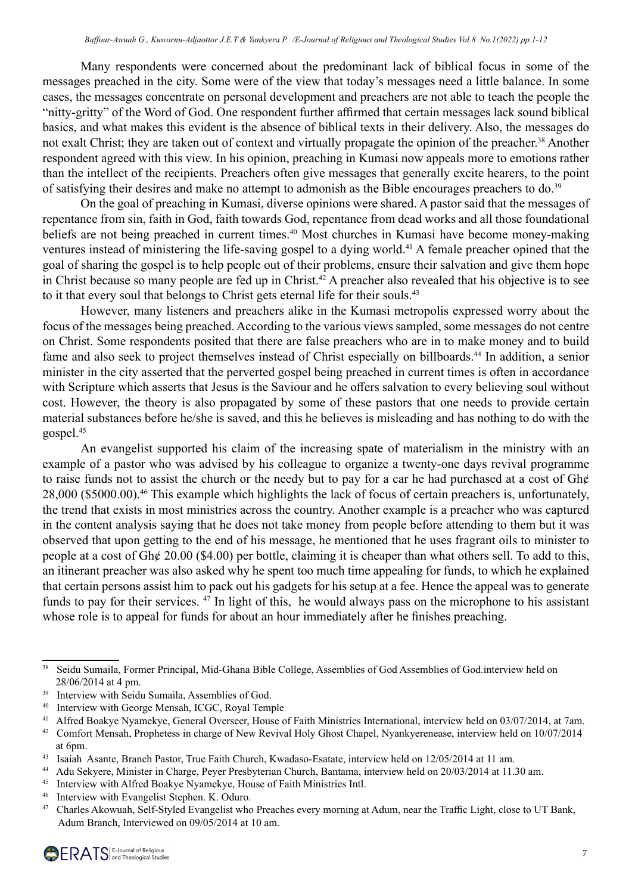Many respondents were concerned about the predominant lack of biblical focus in some of the messages preached in the city. Some were of the view that today's messages need a little balance. In some cases, the messages concentrate on personal development and preachers are not able to teach the people the "nitty-gritty" of the Word of God. One respondent further affirmed that certain messages lack sound biblical basics, and what makes this evident is the absence of biblical texts in their delivery. Also, the messages do not exalt Christ; they are taken out of context and virtually propagate the opinion of the preacher.<sup>38</sup> Another respondent agreed with this view. In his opinion, preaching in Kumasi now appeals more to emotions rather than the intellect of the recipients. Preachers often give messages that generally excite hearers, to the point of satisfying their desires and make no attempt to admonish as the Bible encourages preachers to do.<sup>39</sup>

On the goal of preaching in Kumasi, diverse opinions were shared. A pastor said that the messages of repentance from sin, faith in God, faith towards God, repentance from dead works and all those foundational beliefs are not being preached in current times.<sup>40</sup> Most churches in Kumasi have become money-making ventures instead of ministering the life-saving gospel to a dying world.<sup>41</sup> A female preacher opined that the goal of sharing the gospel is to help people out of their problems, ensure their salvation and give them hope in Christ because so many people are fed up in Christ.<sup>42</sup> A preacher also revealed that his objective is to see to it that every soul that belongs to Christ gets eternal life for their souls.<sup>43</sup>

However, many listeners and preachers alike in the Kumasi metropolis expressed worry about the focus of the messages being preached. According to the various views sampled, some messages do not centre on Christ. Some respondents posited that there are false preachers who are in to make money and to build fame and also seek to project themselves instead of Christ especially on billboards.<sup>44</sup> In addition, a senior minister in the city asserted that the perverted gospel being preached in current times is often in accordance with Scripture which asserts that Jesus is the Saviour and he offers salvation to every believing soul without cost. However, the theory is also propagated by some of these pastors that one needs to provide certain material substances before he/she is saved, and this he believes is misleading and has nothing to do with the gospel.45

An evangelist supported his claim of the increasing spate of materialism in the ministry with an example of a pastor who was advised by his colleague to organize a twenty-one days revival programme to raise funds not to assist the church or the needy but to pay for a car he had purchased at a cost of Gh¢ 28,000 (\$5000.00).46 This example which highlights the lack of focus of certain preachers is, unfortunately, the trend that exists in most ministries across the country. Another example is a preacher who was captured in the content analysis saying that he does not take money from people before attending to them but it was observed that upon getting to the end of his message, he mentioned that he uses fragrant oils to minister to people at a cost of Gh¢ 20.00 (\$4.00) per bottle, claiming it is cheaper than what others sell. To add to this, an itinerant preacher was also asked why he spent too much time appealing for funds, to which he explained that certain persons assist him to pack out his gadgets for his setup at a fee. Hence the appeal was to generate funds to pay for their services. 47 In light of this, he would always pass on the microphone to his assistant whose role is to appeal for funds for about an hour immediately after he finishes preaching.

<sup>46</sup> Interview with Evangelist Stephen. K. Oduro.<br><sup>47</sup> Charles Akowuah. Self-Styled Evangelist who

<sup>&</sup>lt;sup>38</sup> Seidu Sumaila, Former Principal, Mid-Ghana Bible College, Assemblies of God Assemblies of God.interview held on 28/06/2014 at 4 pm.

<sup>&</sup>lt;sup>39</sup> Interview with Seidu Sumaila, Assemblies of God.

<sup>40</sup> Interview with George Mensah, ICGC, Royal Temple

<sup>&</sup>lt;sup>41</sup> Alfred Boakye Nyamekye, General Overseer, House of Faith Ministries International, interview held on 03/07/2014, at 7am.

<sup>&</sup>lt;sup>42</sup> Comfort Mensah, Prophetess in charge of New Revival Holy Ghost Chapel, Nyankyerenease, interview held on 10/07/2014 at 6pm.

<sup>43</sup> Isaiah Asante, Branch Pastor, True Faith Church, Kwadaso-Esatate, interview held on 12/05/2014 at 11 am.

<sup>44</sup> Adu Sekyere, Minister in Charge, Peyer Presbyterian Church, Bantama, interview held on 20/03/2014 at 11.30 am.

<sup>45</sup> Interview with Alfred Boakye Nyamekye, House of Faith Ministries Intl.

<sup>47</sup> Charles Akowuah, Self-Styled Evangelist who Preaches every morning at Adum, near the Traffic Light, close to UT Bank, Adum Branch, Interviewed on 09/05/2014 at 10 am.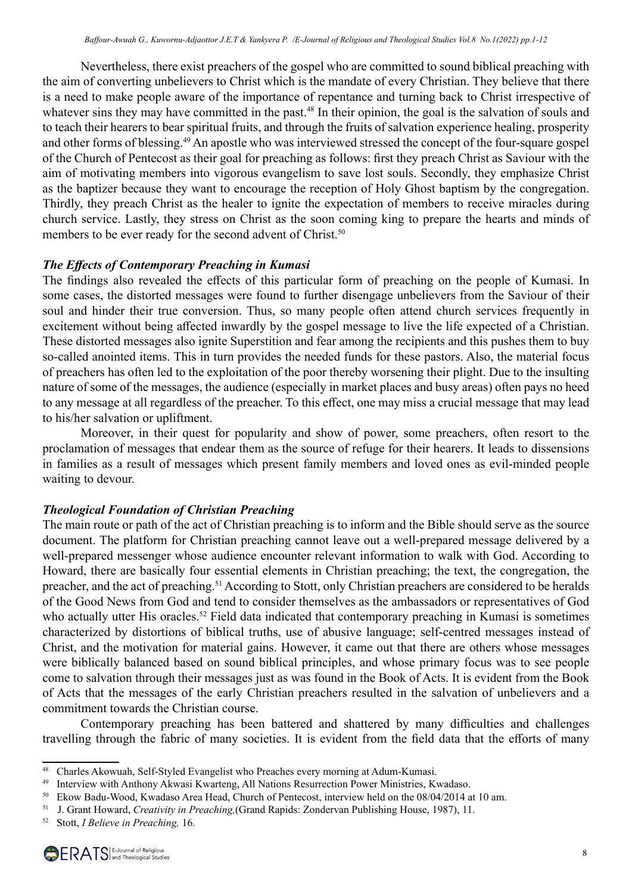Nevertheless, there exist preachers of the gospel who are committed to sound biblical preaching with the aim of converting unbelievers to Christ which is the mandate of every Christian. They believe that there is a need to make people aware of the importance of repentance and turning back to Christ irrespective of whatever sins they may have committed in the past.<sup>48</sup> In their opinion, the goal is the salvation of souls and to teach their hearers to bear spiritual fruits, and through the fruits of salvation experience healing, prosperity and other forms of blessing.<sup>49</sup> An apostle who was interviewed stressed the concept of the four-square gospel of the Church of Pentecost as their goal for preaching as follows: first they preach Christ as Saviour with the aim of motivating members into vigorous evangelism to save lost souls. Secondly, they emphasize Christ as the baptizer because they want to encourage the reception of Holy Ghost baptism by the congregation. Thirdly, they preach Christ as the healer to ignite the expectation of members to receive miracles during church service. Lastly, they stress on Christ as the soon coming king to prepare the hearts and minds of members to be ever ready for the second advent of Christ.<sup>50</sup>

# *The Effects of Contemporary Preaching in Kumasi*

The findings also revealed the effects of this particular form of preaching on the people of Kumasi. In some cases, the distorted messages were found to further disengage unbelievers from the Saviour of their soul and hinder their true conversion. Thus, so many people often attend church services frequently in excitement without being affected inwardly by the gospel message to live the life expected of a Christian. These distorted messages also ignite Superstition and fear among the recipients and this pushes them to buy so-called anointed items. This in turn provides the needed funds for these pastors. Also, the material focus of preachers has often led to the exploitation of the poor thereby worsening their plight. Due to the insulting nature of some of the messages, the audience (especially in market places and busy areas) often pays no heed to any message at all regardless of the preacher. To this effect, one may miss a crucial message that may lead to his/her salvation or upliftment.

Moreover, in their quest for popularity and show of power, some preachers, often resort to the proclamation of messages that endear them as the source of refuge for their hearers. It leads to dissensions in families as a result of messages which present family members and loved ones as evil-minded people waiting to devour.

# *Theological Foundation of Christian Preaching*

The main route or path of the act of Christian preaching is to inform and the Bible should serve as the source document. The platform for Christian preaching cannot leave out a well-prepared message delivered by a well-prepared messenger whose audience encounter relevant information to walk with God. According to Howard, there are basically four essential elements in Christian preaching; the text, the congregation, the preacher, and the act of preaching.<sup>51</sup> According to Stott, only Christian preachers are considered to be heralds of the Good News from God and tend to consider themselves as the ambassadors or representatives of God who actually utter His oracles.<sup>52</sup> Field data indicated that contemporary preaching in Kumasi is sometimes characterized by distortions of biblical truths, use of abusive language; self-centred messages instead of Christ, and the motivation for material gains. However, it came out that there are others whose messages were biblically balanced based on sound biblical principles, and whose primary focus was to see people come to salvation through their messages just as was found in the Book of Acts. It is evident from the Book of Acts that the messages of the early Christian preachers resulted in the salvation of unbelievers and a commitment towards the Christian course.

Contemporary preaching has been battered and shattered by many difficulties and challenges travelling through the fabric of many societies. It is evident from the field data that the efforts of many

<sup>48</sup> Charles Akowuah, Self-Styled Evangelist who Preaches every morning at Adum-Kumasi.

<sup>&</sup>lt;sup>49</sup> Interview with Anthony Akwasi Kwarteng, All Nations Resurrection Power Ministries, Kwadaso.

<sup>50</sup> Ekow Badu-Wood, Kwadaso Area Head, Church of Pentecost, interview held on the 08/04/2014 at 10 am.

<sup>51</sup>  J. Grant Howard, *Creativity in Preaching,*(Grand Rapids: Zondervan Publishing House, 1987), 11.

<sup>52</sup> Stott, *I Believe in Preaching,* 16.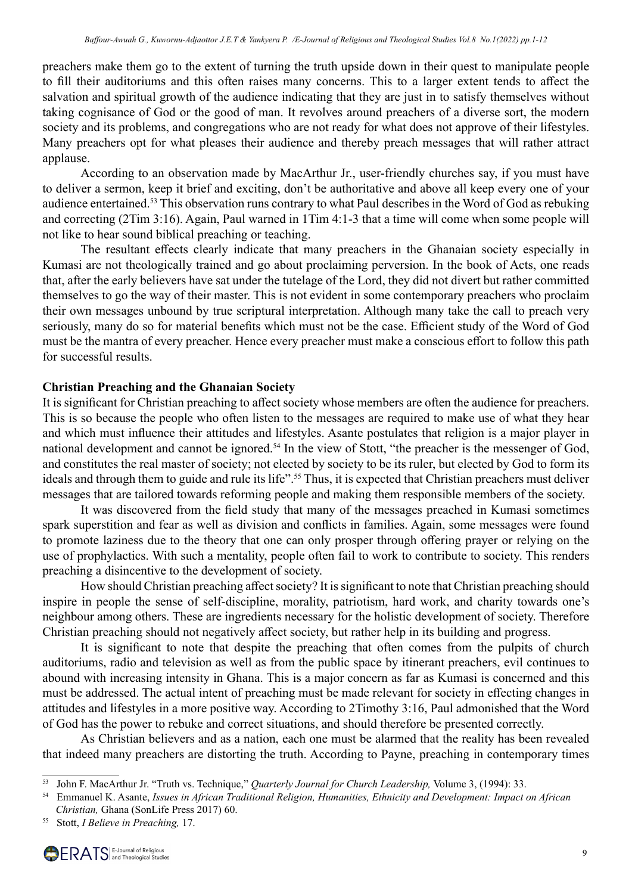preachers make them go to the extent of turning the truth upside down in their quest to manipulate people to fill their auditoriums and this often raises many concerns. This to a larger extent tends to affect the salvation and spiritual growth of the audience indicating that they are just in to satisfy themselves without taking cognisance of God or the good of man. It revolves around preachers of a diverse sort, the modern society and its problems, and congregations who are not ready for what does not approve of their lifestyles. Many preachers opt for what pleases their audience and thereby preach messages that will rather attract applause.

According to an observation made by MacArthur Jr., user-friendly churches say, if you must have to deliver a sermon, keep it brief and exciting, don't be authoritative and above all keep every one of your audience entertained.53 This observation runs contrary to what Paul describes in the Word of God as rebuking and correcting (2Tim 3:16). Again, Paul warned in 1Tim 4:1-3 that a time will come when some people will not like to hear sound biblical preaching or teaching.

The resultant effects clearly indicate that many preachers in the Ghanaian society especially in Kumasi are not theologically trained and go about proclaiming perversion. In the book of Acts, one reads that, after the early believers have sat under the tutelage of the Lord, they did not divert but rather committed themselves to go the way of their master. This is not evident in some contemporary preachers who proclaim their own messages unbound by true scriptural interpretation. Although many take the call to preach very seriously, many do so for material benefits which must not be the case. Efficient study of the Word of God must be the mantra of every preacher. Hence every preacher must make a conscious effort to follow this path for successful results.

# **Christian Preaching and the Ghanaian Society**

It is significant for Christian preaching to affect society whose members are often the audience for preachers. This is so because the people who often listen to the messages are required to make use of what they hear and which must influence their attitudes and lifestyles. Asante postulates that religion is a major player in national development and cannot be ignored.<sup>54</sup> In the view of Stott, "the preacher is the messenger of God, and constitutes the real master of society; not elected by society to be its ruler, but elected by God to form its ideals and through them to guide and rule its life".<sup>55</sup> Thus, it is expected that Christian preachers must deliver messages that are tailored towards reforming people and making them responsible members of the society.

It was discovered from the field study that many of the messages preached in Kumasi sometimes spark superstition and fear as well as division and conflicts in families. Again, some messages were found to promote laziness due to the theory that one can only prosper through offering prayer or relying on the use of prophylactics. With such a mentality, people often fail to work to contribute to society. This renders preaching a disincentive to the development of society.

How should Christian preaching affect society? It is significant to note that Christian preaching should inspire in people the sense of self-discipline, morality, patriotism, hard work, and charity towards one's neighbour among others. These are ingredients necessary for the holistic development of society. Therefore Christian preaching should not negatively affect society, but rather help in its building and progress.

It is significant to note that despite the preaching that often comes from the pulpits of church auditoriums, radio and television as well as from the public space by itinerant preachers, evil continues to abound with increasing intensity in Ghana. This is a major concern as far as Kumasi is concerned and this must be addressed. The actual intent of preaching must be made relevant for society in effecting changes in attitudes and lifestyles in a more positive way. According to 2Timothy 3:16, Paul admonished that the Word of God has the power to rebuke and correct situations, and should therefore be presented correctly.

As Christian believers and as a nation, each one must be alarmed that the reality has been revealed that indeed many preachers are distorting the truth. According to Payne, preaching in contemporary times

<sup>53</sup> John F. MacArthur Jr. "Truth vs. Technique," *Quarterly Journal for Church Leadership,* Volume 3, (1994): 33.

<sup>54</sup> Emmanuel K. Asante, *Issues in African Traditional Religion, Humanities, Ethnicity and Development: Impact on African Christian,* Ghana (SonLife Press 2017) 60.

<sup>55</sup> Stott, *I Believe in Preaching,* 17.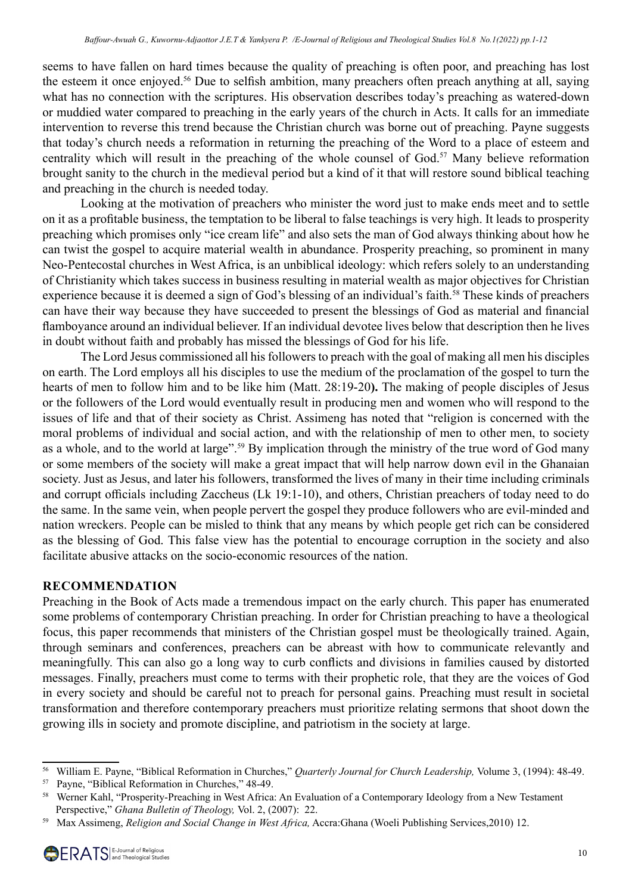seems to have fallen on hard times because the quality of preaching is often poor, and preaching has lost the esteem it once enjoyed.<sup>56</sup> Due to selfish ambition, many preachers often preach anything at all, saying what has no connection with the scriptures. His observation describes today's preaching as watered-down or muddied water compared to preaching in the early years of the church in Acts. It calls for an immediate intervention to reverse this trend because the Christian church was borne out of preaching. Payne suggests that today's church needs a reformation in returning the preaching of the Word to a place of esteem and centrality which will result in the preaching of the whole counsel of God.<sup>57</sup> Many believe reformation brought sanity to the church in the medieval period but a kind of it that will restore sound biblical teaching and preaching in the church is needed today.

Looking at the motivation of preachers who minister the word just to make ends meet and to settle on it as a profitable business, the temptation to be liberal to false teachings is very high. It leads to prosperity preaching which promises only "ice cream life" and also sets the man of God always thinking about how he can twist the gospel to acquire material wealth in abundance. Prosperity preaching, so prominent in many Neo-Pentecostal churches in West Africa, is an unbiblical ideology: which refers solely to an understanding of Christianity which takes success in business resulting in material wealth as major objectives for Christian experience because it is deemed a sign of God's blessing of an individual's faith.<sup>58</sup> These kinds of preachers can have their way because they have succeeded to present the blessings of God as material and financial flamboyance around an individual believer. If an individual devotee lives below that description then he lives in doubt without faith and probably has missed the blessings of God for his life.

The Lord Jesus commissioned all his followers to preach with the goal of making all men his disciples on earth. The Lord employs all his disciples to use the medium of the proclamation of the gospel to turn the hearts of men to follow him and to be like him (Matt. 28:19-20**).** The making of people disciples of Jesus or the followers of the Lord would eventually result in producing men and women who will respond to the issues of life and that of their society as Christ. Assimeng has noted that "religion is concerned with the moral problems of individual and social action, and with the relationship of men to other men, to society as a whole, and to the world at large".<sup>59</sup> By implication through the ministry of the true word of God many or some members of the society will make a great impact that will help narrow down evil in the Ghanaian society. Just as Jesus, and later his followers, transformed the lives of many in their time including criminals and corrupt officials including Zaccheus (Lk 19:1-10), and others, Christian preachers of today need to do the same. In the same vein, when people pervert the gospel they produce followers who are evil-minded and nation wreckers. People can be misled to think that any means by which people get rich can be considered as the blessing of God. This false view has the potential to encourage corruption in the society and also facilitate abusive attacks on the socio-economic resources of the nation.

# **RECOMMENDATION**

Preaching in the Book of Acts made a tremendous impact on the early church. This paper has enumerated some problems of contemporary Christian preaching. In order for Christian preaching to have a theological focus, this paper recommends that ministers of the Christian gospel must be theologically trained. Again, through seminars and conferences, preachers can be abreast with how to communicate relevantly and meaningfully. This can also go a long way to curb conflicts and divisions in families caused by distorted messages. Finally, preachers must come to terms with their prophetic role, that they are the voices of God in every society and should be careful not to preach for personal gains. Preaching must result in societal transformation and therefore contemporary preachers must prioritize relating sermons that shoot down the growing ills in society and promote discipline, and patriotism in the society at large.

<sup>56</sup> William E. Payne, "Biblical Reformation in Churches," *Quarterly Journal for Church Leadership,* Volume 3, (1994): 48-49.

<sup>57</sup> Payne, "Biblical Reformation in Churches," 48-49.

<sup>&</sup>lt;sup>58</sup> Werner Kahl, "Prosperity-Preaching in West Africa: An Evaluation of a Contemporary Ideology from a New Testament Perspective," *Ghana Bulletin of Theology,* Vol. 2, (2007): 22.

<sup>59</sup> Max Assimeng, *Religion and Social Change in West Africa,* Accra:Ghana (Woeli Publishing Services,2010) 12.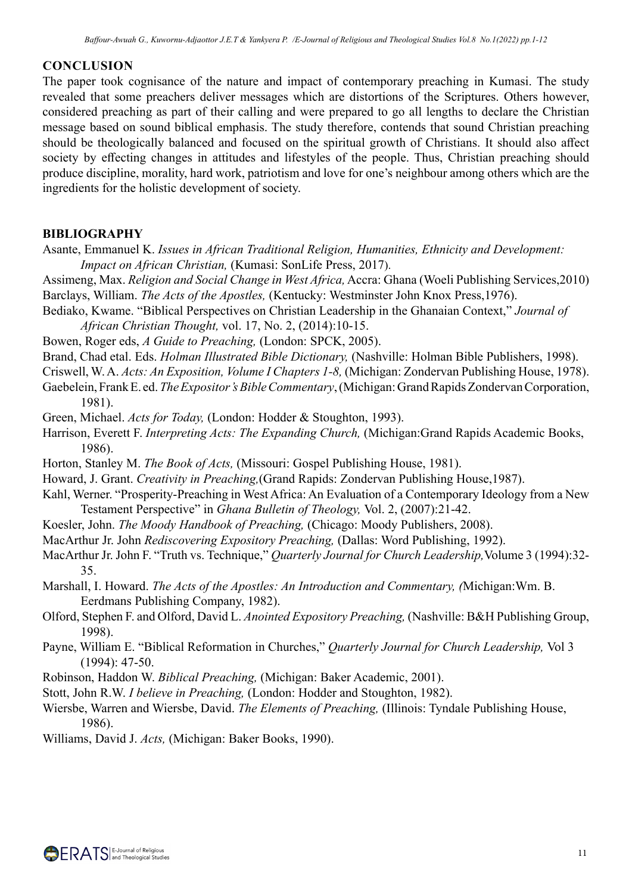## **CONCLUSION**

The paper took cognisance of the nature and impact of contemporary preaching in Kumasi. The study revealed that some preachers deliver messages which are distortions of the Scriptures. Others however, considered preaching as part of their calling and were prepared to go all lengths to declare the Christian message based on sound biblical emphasis. The study therefore, contends that sound Christian preaching should be theologically balanced and focused on the spiritual growth of Christians. It should also affect society by effecting changes in attitudes and lifestyles of the people. Thus, Christian preaching should produce discipline, morality, hard work, patriotism and love for one's neighbour among others which are the ingredients for the holistic development of society.

#### **BIBLIOGRAPHY**

- Asante, Emmanuel K. *Issues in African Traditional Religion, Humanities, Ethnicity and Development: Impact on African Christian,* (Kumasi: SonLife Press, 2017).
- Assimeng, Max. *Religion and Social Change in West Africa,* Accra: Ghana (Woeli Publishing Services,2010) Barclays, William. *The Acts of the Apostles,* (Kentucky: Westminster John Knox Press,1976).
- Bediako, Kwame. "Biblical Perspectives on Christian Leadership in the Ghanaian Context," *Journal of African Christian Thought,* vol. 17, No. 2, (2014):10-15.

Bowen, Roger eds, *A Guide to Preaching,* (London: SPCK, 2005).

Brand, Chad etal. Eds. *Holman Illustrated Bible Dictionary,* (Nashville: Holman Bible Publishers, 1998).

Criswell, W. A. *Acts: An Exposition, Volume I Chapters 1-8,* (Michigan: Zondervan Publishing House, 1978).

Gaebelein, Frank E. ed. *The Expositor's Bible Commentary*, (Michigan: Grand Rapids Zondervan Corporation, 1981).

Green, Michael. *Acts for Today,* (London: Hodder & Stoughton, 1993).

- Harrison, Everett F. *Interpreting Acts: The Expanding Church,* (Michigan:Grand Rapids Academic Books, 1986).
- Horton, Stanley M. *The Book of Acts,* (Missouri: Gospel Publishing House, 1981).
- Howard, J. Grant. *Creativity in Preaching,*(Grand Rapids: Zondervan Publishing House,1987).
- Kahl, Werner. "Prosperity-Preaching in West Africa: An Evaluation of a Contemporary Ideology from a New Testament Perspective" in *Ghana Bulletin of Theology,* Vol. 2, (2007):21-42.
- Koesler, John. *The Moody Handbook of Preaching,* (Chicago: Moody Publishers, 2008).
- MacArthur Jr. John *Rediscovering Expository Preaching,* (Dallas: Word Publishing, 1992).
- MacArthur Jr. John F. "Truth vs. Technique," *Quarterly Journal for Church Leadership,*Volume 3 (1994):32- 35.
- Marshall, I. Howard. *The Acts of the Apostles: An Introduction and Commentary, (*Michigan:Wm. B. Eerdmans Publishing Company, 1982).

Olford, Stephen F. and Olford, David L. *Anointed Expository Preaching,* (Nashville: B&H Publishing Group, 1998).

- Payne, William E. "Biblical Reformation in Churches," *Quarterly Journal for Church Leadership,* Vol 3 (1994): 47-50.
- Robinson, Haddon W. *Biblical Preaching,* (Michigan: Baker Academic, 2001).
- Stott, John R.W. *I believe in Preaching,* (London: Hodder and Stoughton, 1982).

Wiersbe, Warren and Wiersbe, David. *The Elements of Preaching,* (Illinois: Tyndale Publishing House, 1986).

Williams, David J. *Acts,* (Michigan: Baker Books, 1990).